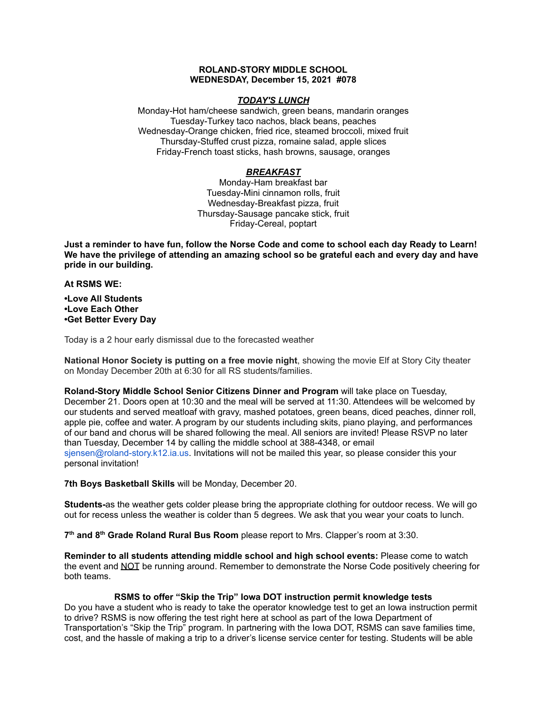### **ROLAND-STORY MIDDLE SCHOOL WEDNESDAY, December 15, 2021 #078**

### *TODAY'S LUNCH*

Monday-Hot ham/cheese sandwich, green beans, mandarin oranges Tuesday-Turkey taco nachos, black beans, peaches Wednesday-Orange chicken, fried rice, steamed broccoli, mixed fruit Thursday-Stuffed crust pizza, romaine salad, apple slices Friday-French toast sticks, hash browns, sausage, oranges

## *BREAKFAST*

Monday-Ham breakfast bar Tuesday-Mini cinnamon rolls, fruit Wednesday-Breakfast pizza, fruit Thursday-Sausage pancake stick, fruit Friday-Cereal, poptart

Just a reminder to have fun, follow the Norse Code and come to school each day Ready to Learn! **We have the privilege of attending an amazing school so be grateful each and every day and have pride in our building.**

#### **At RSMS WE:**

**•Love All Students •Love Each Other •Get Better Every Day**

Today is a 2 hour early dismissal due to the forecasted weather

**National Honor Society is putting on a free movie night**, showing the movie Elf at Story City theater on Monday December 20th at 6:30 for all RS students/families.

**Roland-Story Middle School Senior Citizens Dinner and Program** will take place on Tuesday, December 21. Doors open at 10:30 and the meal will be served at 11:30. Attendees will be welcomed by our students and served meatloaf with gravy, mashed potatoes, green beans, diced peaches, dinner roll, apple pie, coffee and water. A program by our students including skits, piano playing, and performances of our band and chorus will be shared following the meal. All seniors are invited! Please RSVP no later than Tuesday, December 14 by calling the middle school at 388-4348, or email sjensen@roland-story.k12.ia.us. Invitations will not be mailed this year, so please consider this your personal invitation!

**7th Boys Basketball Skills** will be Monday, December 20.

**Students-**as the weather gets colder please bring the appropriate clothing for outdoor recess. We will go out for recess unless the weather is colder than 5 degrees. We ask that you wear your coats to lunch.

**7 th and 8 th Grade Roland Rural Bus Room** please report to Mrs. Clapper's room at 3:30.

**Reminder to all students attending middle school and high school events:** Please come to watch the event and NOT be running around. Remember to demonstrate the Norse Code positively cheering for both teams.

### **RSMS to offer "Skip the Trip" Iowa DOT instruction permit knowledge tests**

Do you have a student who is ready to take the operator knowledge test to get an Iowa instruction permit to drive? RSMS is now offering the test right here at school as part of the Iowa Department of Transportation's "Skip the Trip" program. In partnering with the Iowa DOT, RSMS can save families time, cost, and the hassle of making a trip to a driver's license service center for testing. Students will be able